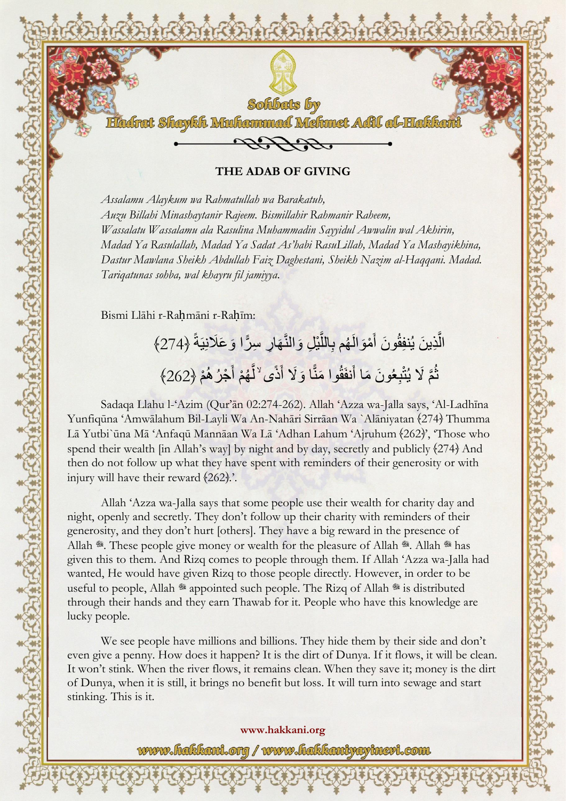

**THE ADAB OF GIVING**

*Assalamu Alaykum wa Rahmatullah wa Barakatuh, Auzu Billahi Minashaytanir Rajeem. Bismillahir Rahmanir Raheem, Wassalatu Wassalamu ala Rasulina Muhammadin Sayyidul Awwalin wal Akhirin, Madad Ya Rasulallah, Madad Ya Sadat As'habi RasuLillah, Madad Ya Mashayikhina, Dastur Mawlana Sheikh Abdullah Faiz Daghestani, Sheikh Nazim al-Haqqani. Madad. Tariqatunas sohba, wal khayru fil jamiyya.*

Bismi Llāhi r-Rahmāni r-Rahīm:

الَّذِينَ يُنفِقُونَ أَمْوَ الْهُم بِاللَّيْلِ وَالنَّهَارِ سِرًّا وَعَلَانِيَةً ﴿274﴾ َّ ًّ ثُمَّ لَا يُتْبِعُونَ مَا أَنفَقُوا مَنَّا وَلَا أَذًى <sup>لا</sup>لَّهُمْ أَجْرُ هُمْ (262<del>)</del>  $\frac{1}{2}$  $\overline{\phantom{a}}$ َّ

Sadaqa Llahu l-'Azim (Qur'ān 02:274-262). Allah 'Azza wa-Jalla says, 'Al-Ladhīna Yunfiqūna 'Amwālahum Bil-Layli Wa An-Nahāri Sirrāan Wa `Alāniyatan (274) Thumma Lā Yutbi`ūna Mā 'Anfaqū Mannāan Wa Lā 'Adhan Lahum 'Ajruhum (262)', 'Those who spend their wealth  $\lim$  Allah's way] by night and by day, secretly and publicly  $\{274\}$  And then do not follow up what they have spent with reminders of their generosity or with injury will have their reward  $(262)$ .

Allah 'Azza wa-Jalla says that some people use their wealth for charity day and night, openly and secretly. They don't follow up their charity with reminders of their generosity, and they don't hurt [others]. They have a big reward in the presence of Allah \*. These people give money or wealth for the pleasure of Allah \*. Allah \* has given this to them. And Rizq comes to people through them. If Allah 'Azza wa-Jalla had wanted, He would have given Rizq to those people directly. However, in order to be useful to people, Allah \* appointed such people. The Rizq of Allah \* is distributed through their hands and they earn Thawab for it. People who have this knowledge are lucky people.

We see people have millions and billions. They hide them by their side and don't even give a penny. How does it happen? It is the dirt of Dunya. If it flows, it will be clean. It won't stink. When the river flows, it remains clean. When they save it; money is the dirt of Dunya, when it is still, it brings no benefit but loss. It will turn into sewage and start stinking. This is it.

> **www.hakkani.org** www.fiakkani.org / www.fiakkaniyayinevi.com